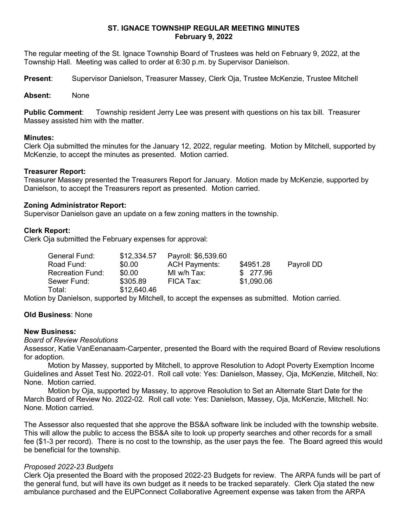## ST. IGNACE TOWNSHIP REGULAR MEETING MINUTES February 9, 2022

The regular meeting of the St. Ignace Township Board of Trustees was held on February 9, 2022, at the Township Hall. Meeting was called to order at 6:30 p.m. by Supervisor Danielson.

Present: Supervisor Danielson, Treasurer Massey, Clerk Oja, Trustee McKenzie, Trustee Mitchell

## Absent: None

Public Comment: Township resident Jerry Lee was present with questions on his tax bill. Treasurer Massey assisted him with the matter.

## Minutes:

Clerk Oja submitted the minutes for the January 12, 2022, regular meeting. Motion by Mitchell, supported by McKenzie, to accept the minutes as presented. Motion carried.

## Treasurer Report:

Treasurer Massey presented the Treasurers Report for January. Motion made by McKenzie, supported by Danielson, to accept the Treasurers report as presented. Motion carried.

## Zoning Administrator Report:

Supervisor Danielson gave an update on a few zoning matters in the township.

# Clerk Report:

Clerk Oja submitted the February expenses for approval:

| Payroll DD |
|------------|
|            |
|            |
|            |

Motion by Danielson, supported by Mitchell, to accept the expenses as submitted. Motion carried.

# Old Business: None

#### New Business:

#### Board of Review Resolutions

Assessor, Katie VanEenanaam-Carpenter, presented the Board with the required Board of Review resolutions for adoption.

Motion by Massey, supported by Mitchell, to approve Resolution to Adopt Poverty Exemption Income Guidelines and Asset Test No. 2022-01. Roll call vote: Yes: Danielson, Massey, Oja, McKenzie, Mitchell, No: None. Motion carried.

Motion by Oja, supported by Massey, to approve Resolution to Set an Alternate Start Date for the March Board of Review No. 2022-02. Roll call vote: Yes: Danielson, Massey, Oja, McKenzie, Mitchell. No: None. Motion carried.

The Assessor also requested that she approve the BS&A software link be included with the township website. This will allow the public to access the BS&A site to look up property searches and other records for a small fee (\$1-3 per record). There is no cost to the township, as the user pays the fee. The Board agreed this would be beneficial for the township.

# Proposed 2022-23 Budgets

Clerk Oja presented the Board with the proposed 2022-23 Budgets for review. The ARPA funds will be part of the general fund, but will have its own budget as it needs to be tracked separately. Clerk Oja stated the new ambulance purchased and the EUPConnect Collaborative Agreement expense was taken from the ARPA